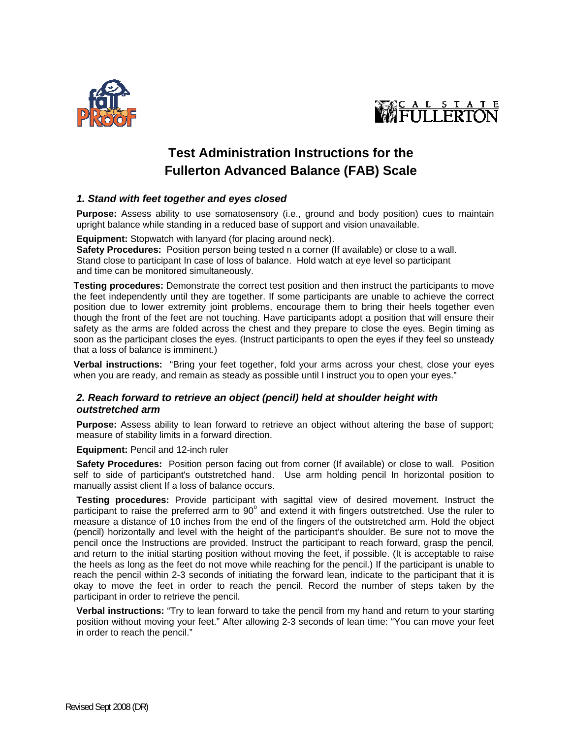



# **Test Administration Instructions for the Fullerton Advanced Balance (FAB) Scale**

# *1. Stand with feet together and eyes closed*

**Purpose:** Assess ability to use somatosensory (i.e., ground and body position) cues to maintain upright balance while standing in a reduced base of support and vision unavailable.

**Equipment:** Stopwatch with lanyard (for placing around neck).

**Safety Procedures:** Position person being tested n a corner (If available) or close to a wall. Stand close to participant In case of loss of balance. Hold watch at eye level so participant and time can be monitored simultaneously.

**Testing procedures:** Demonstrate the correct test position and then instruct the participants to move the feet independently until they are together. If some participants are unable to achieve the correct position due to lower extremity joint problems, encourage them to bring their heels together even though the front of the feet are not touching. Have participants adopt a position that will ensure their safety as the arms are folded across the chest and they prepare to close the eyes. Begin timing as soon as the participant closes the eyes. (Instruct participants to open the eyes if they feel so unsteady that a loss of balance is imminent.)

**Verbal instructions:** "Bring your feet together, fold your arms across your chest, close your eyes when you are ready, and remain as steady as possible until I instruct you to open your eyes."

# *2. Reach forward to retrieve an object (pencil) held at shoulder height with outstretched arm*

**Purpose:** Assess ability to lean forward to retrieve an object without altering the base of support; measure of stability limits in a forward direction.

**Equipment:** Pencil and 12-inch ruler

**Safety Procedures:** Position person facing out from corner (If available) or close to wall. Position self to side of participant's outstretched hand. Use arm holding pencil In horizontal position to manually assist client If a loss of balance occurs.

**Testing procedures:** Provide participant with sagittal view of desired movement. Instruct the participant to raise the preferred arm to 90° and extend it with fingers outstretched. Use the ruler to measure a distance of 10 inches from the end of the fingers of the outstretched arm. Hold the object (pencil) horizontally and level with the height of the participant's shoulder. Be sure not to move the pencil once the Instructions are provided. Instruct the participant to reach forward, grasp the pencil, and return to the initial starting position without moving the feet, if possible. (It is acceptable to raise the heels as long as the feet do not move while reaching for the pencil.) If the participant is unable to reach the pencil within 2-3 seconds of initiating the forward lean, indicate to the participant that it is okay to move the feet in order to reach the pencil. Record the number of steps taken by the participant in order to retrieve the pencil.

**Verbal instructions:** "Try to lean forward to take the pencil from my hand and return to your starting position without moving your feet." After allowing 2-3 seconds of lean time: "You can move your feet in order to reach the pencil."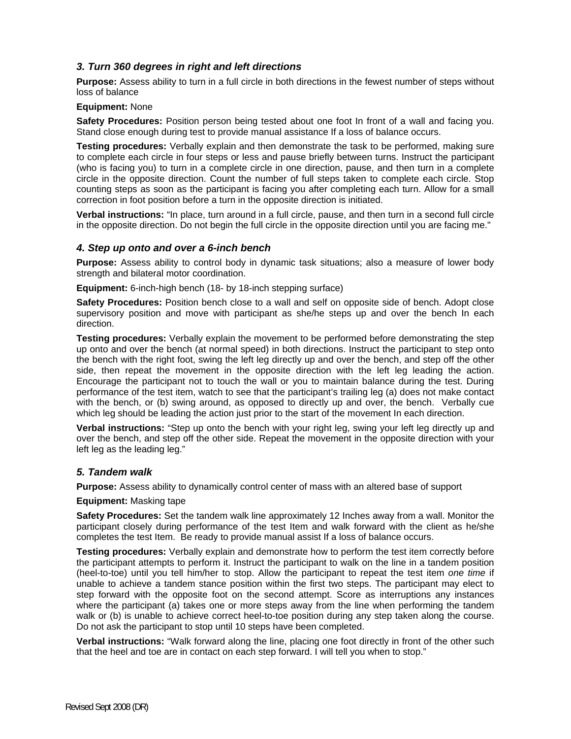# *3. Turn 360 degrees in right and left directions*

**Purpose:** Assess ability to turn in a full circle in both directions in the fewest number of steps without loss of balance

#### **Equipment:** None

**Safety Procedures:** Position person being tested about one foot In front of a wall and facing you. Stand close enough during test to provide manual assistance If a loss of balance occurs.

**Testing procedures:** Verbally explain and then demonstrate the task to be performed, making sure to complete each circle in four steps or less and pause briefly between turns. Instruct the participant (who is facing you) to turn in a complete circle in one direction, pause, and then turn in a complete circle in the opposite direction. Count the number of full steps taken to complete each circle. Stop counting steps as soon as the participant is facing you after completing each turn. Allow for a small correction in foot position before a turn in the opposite direction is initiated.

**Verbal instructions:** "In place, turn around in a full circle, pause, and then turn in a second full circle in the opposite direction. Do not begin the full circle in the opposite direction until you are facing me."

## *4. Step up onto and over a 6-inch bench*

**Purpose:** Assess ability to control body in dynamic task situations; also a measure of lower body strength and bilateral motor coordination.

**Equipment:** 6-inch-high bench (18- by 18-inch stepping surface)

**Safety Procedures:** Position bench close to a wall and self on opposite side of bench. Adopt close supervisory position and move with participant as she/he steps up and over the bench In each direction.

**Testing procedures:** Verbally explain the movement to be performed before demonstrating the step up onto and over the bench (at normal speed) in both directions. Instruct the participant to step onto the bench with the right foot, swing the left leg directly up and over the bench, and step off the other side, then repeat the movement in the opposite direction with the left leg leading the action. Encourage the participant not to touch the wall or you to maintain balance during the test. During performance of the test item, watch to see that the participant's trailing leg (a) does not make contact with the bench, or (b) swing around, as opposed to directly up and over, the bench. Verbally cue which leg should be leading the action just prior to the start of the movement In each direction.

**Verbal instructions:** "Step up onto the bench with your right leg, swing your left leg directly up and over the bench, and step off the other side. Repeat the movement in the opposite direction with your left leg as the leading leg."

## *5. Tandem walk*

**Purpose:** Assess ability to dynamically control center of mass with an altered base of support

#### **Equipment:** Masking tape

**Safety Procedures:** Set the tandem walk line approximately 12 Inches away from a wall. Monitor the participant closely during performance of the test Item and walk forward with the client as he/she completes the test Item. Be ready to provide manual assist If a loss of balance occurs.

**Testing procedures:** Verbally explain and demonstrate how to perform the test item correctly before the participant attempts to perform it. Instruct the participant to walk on the line in a tandem position (heel-to-toe) until you tell him/her to stop. Allow the participant to repeat the test item *one time* if unable to achieve a tandem stance position within the first two steps. The participant may elect to step forward with the opposite foot on the second attempt. Score as interruptions any instances where the participant (a) takes one or more steps away from the line when performing the tandem walk or (b) is unable to achieve correct heel-to-toe position during any step taken along the course. Do not ask the participant to stop until 10 steps have been completed.

**Verbal instructions:** "Walk forward along the line, placing one foot directly in front of the other such that the heel and toe are in contact on each step forward. I will tell you when to stop."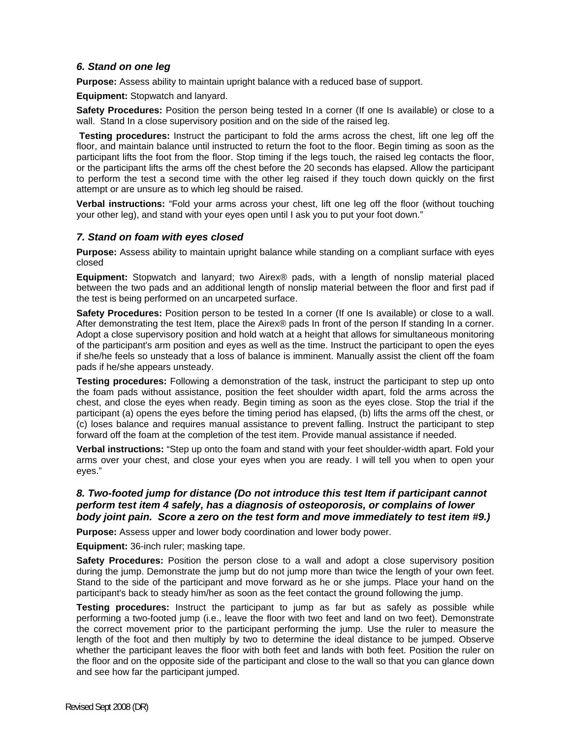# *6. Stand on one leg*

**Purpose:** Assess ability to maintain upright balance with a reduced base of support.

**Equipment:** Stopwatch and lanyard.

**Safety Procedures:** Position the person being tested In a corner (If one Is available) or close to a wall. Stand In a close supervisory position and on the side of the raised leg.

**Testing procedures:** Instruct the participant to fold the arms across the chest, lift one leg off the floor, and maintain balance until instructed to return the foot to the floor. Begin timing as soon as the participant lifts the foot from the floor. Stop timing if the legs touch, the raised leg contacts the floor, or the participant lifts the arms off the chest before the 20 seconds has elapsed. Allow the participant to perform the test a second time with the other leg raised if they touch down quickly on the first attempt or are unsure as to which leg should be raised.

**Verbal instructions:** "Fold your arms across your chest, lift one leg off the floor (without touching your other leg), and stand with your eyes open until I ask you to put your foot down."

## *7. Stand on foam with eyes closed*

**Purpose:** Assess ability to maintain upright balance while standing on a compliant surface with eyes closed

**Equipment:** Stopwatch and lanyard; two Airex® pads, with a length of nonslip material placed between the two pads and an additional length of nonslip material between the floor and first pad if the test is being performed on an uncarpeted surface.

**Safety Procedures:** Position person to be tested In a corner (If one Is available) or close to a wall. After demonstrating the test Item, place the Airex® pads In front of the person If standing In a corner. Adopt a close supervisory position and hold watch at a height that allows for simultaneous monitoring of the participant's arm position and eyes as well as the time. Instruct the participant to open the eyes if she/he feels so unsteady that a loss of balance is imminent. Manually assist the client off the foam pads if he/she appears unsteady.

**Testing procedures:** Following a demonstration of the task, instruct the participant to step up onto the foam pads without assistance, position the feet shoulder width apart, fold the arms across the chest, and close the eyes when ready. Begin timing as soon as the eyes close. Stop the trial if the participant (a) opens the eyes before the timing period has elapsed, (b) lifts the arms off the chest, or (c) loses balance and requires manual assistance to prevent falling. Instruct the participant to step forward off the foam at the completion of the test item. Provide manual assistance if needed.

**Verbal instructions:** "Step up onto the foam and stand with your feet shoulder-width apart. Fold your arms over your chest, and close your eyes when you are ready. I will tell you when to open your eyes."

# *8. Two-footed jump for distance (Do not introduce this test Item if participant cannot perform test item 4 safely, has a diagnosis of osteoporosis, or complains of lower body joint pain. Score a zero on the test form and move immediately to test item #9.)*

**Purpose:** Assess upper and lower body coordination and lower body power.

**Equipment:** 36-inch ruler; masking tape.

**Safety Procedures:** Position the person close to a wall and adopt a close supervisory position during the jump. Demonstrate the jump but do not jump more than twice the length of your own feet. Stand to the side of the participant and move forward as he or she jumps. Place your hand on the participant's back to steady him/her as soon as the feet contact the ground following the jump.

**Testing procedures:** Instruct the participant to jump as far but as safely as possible while performing a two-footed jump (i.e., leave the floor with two feet and land on two feet). Demonstrate the correct movement prior to the participant performing the jump. Use the ruler to measure the length of the foot and then multiply by two to determine the ideal distance to be jumped. Observe whether the participant leaves the floor with both feet and lands with both feet. Position the ruler on the floor and on the opposite side of the participant and close to the wall so that you can glance down and see how far the participant jumped.